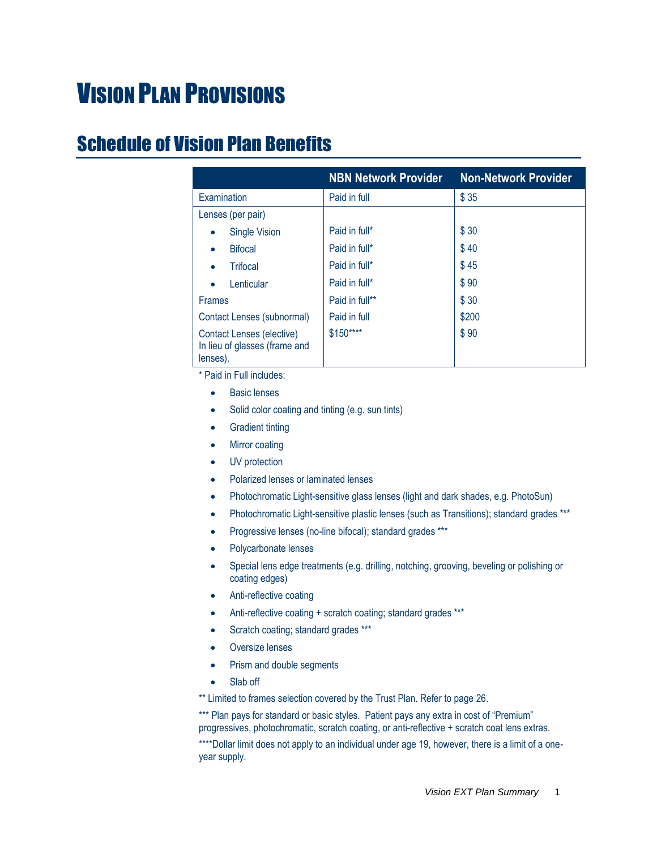# VISION PLAN PROVISIONS

### <span id="page-0-0"></span>Schedule of Vision Plan Benefits

|                                                                        | <b>NBN Network Provider</b> | <b>Non-Network Provider</b> |
|------------------------------------------------------------------------|-----------------------------|-----------------------------|
| Examination                                                            | Paid in full                | \$35                        |
| Lenses (per pair)                                                      |                             |                             |
| <b>Single Vision</b><br>$\bullet$                                      | Paid in full*               | \$30                        |
| <b>Bifocal</b><br>٠                                                    | Paid in full*               | \$40                        |
| <b>Trifocal</b><br>$\bullet$                                           | Paid in full*               | \$45                        |
| Lenticular<br>$\bullet$                                                | Paid in full*               | \$90                        |
| <b>Frames</b>                                                          | Paid in full**              | \$30                        |
| Contact Lenses (subnormal)                                             | Paid in full                | \$200                       |
| Contact Lenses (elective)<br>In lieu of glasses (frame and<br>lenses). | \$150****                   | \$90                        |

\* Paid in Full includes:

- Basic lenses
- Solid color coating and tinting (e.g. sun tints)
- Gradient tinting
- Mirror coating
- UV protection
- Polarized lenses or laminated lenses
- Photochromatic Light-sensitive glass lenses (light and dark shades, e.g. PhotoSun)
- Photochromatic Light-sensitive plastic lenses (such as Transitions); standard grades \*\*\*
- Progressive lenses (no-line bifocal); standard grades \*\*\*
- Polycarbonate lenses
- Special lens edge treatments (e.g. drilling, notching, grooving, beveling or polishing or coating edges)
- Anti-reflective coating
- Anti-reflective coating + scratch coating; standard grades \*\*\*
- Scratch coating; standard grades \*\*\*
- Oversize lenses
- Prism and double segments
- Slab off

\*\* Limited to frames selection covered by the Trust Plan. Refer to page 26.

\*\*\* Plan pays for standard or basic styles. Patient pays any extra in cost of "Premium" progressives, photochromatic, scratch coating, or anti-reflective + scratch coat lens extras. \*\*\*\*Dollar limit does not apply to an individual under age 19, however, there is a limit of a oneyear supply.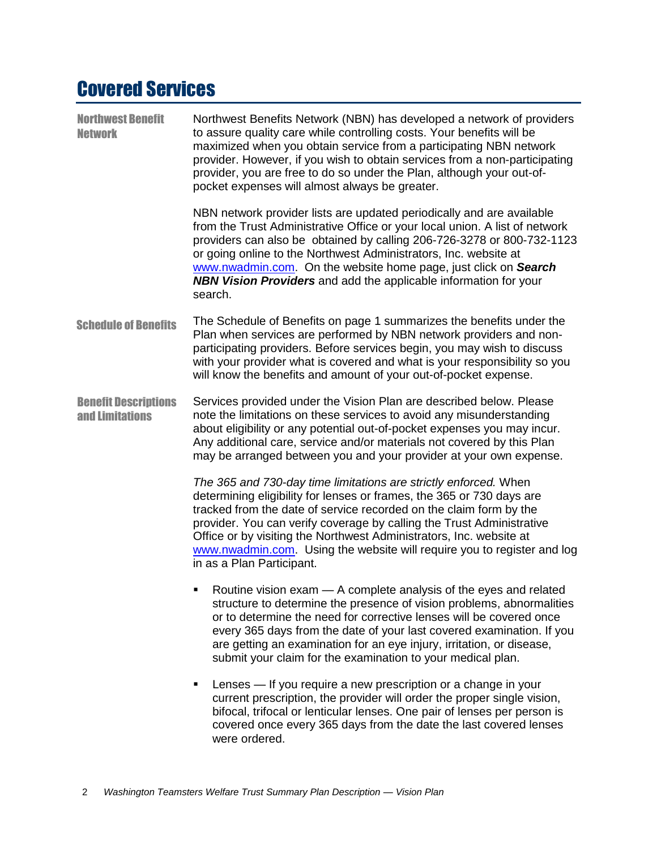## Covered Services

| <b>Northwest Benefit</b><br><b>Network</b>     | Northwest Benefits Network (NBN) has developed a network of providers<br>to assure quality care while controlling costs. Your benefits will be<br>maximized when you obtain service from a participating NBN network<br>provider. However, if you wish to obtain services from a non-participating<br>provider, you are free to do so under the Plan, although your out-of-<br>pocket expenses will almost always be greater.                                           |
|------------------------------------------------|-------------------------------------------------------------------------------------------------------------------------------------------------------------------------------------------------------------------------------------------------------------------------------------------------------------------------------------------------------------------------------------------------------------------------------------------------------------------------|
|                                                | NBN network provider lists are updated periodically and are available<br>from the Trust Administrative Office or your local union. A list of network<br>providers can also be obtained by calling 206-726-3278 or 800-732-1123<br>or going online to the Northwest Administrators, Inc. website at<br>www.nwadmin.com. On the website home page, just click on Search<br><b>NBN Vision Providers</b> and add the applicable information for your<br>search.             |
| <b>Schedule of Benefits</b>                    | The Schedule of Benefits on page 1 summarizes the benefits under the<br>Plan when services are performed by NBN network providers and non-<br>participating providers. Before services begin, you may wish to discuss<br>with your provider what is covered and what is your responsibility so you<br>will know the benefits and amount of your out-of-pocket expense.                                                                                                  |
| <b>Benefit Descriptions</b><br>and Limitations | Services provided under the Vision Plan are described below. Please<br>note the limitations on these services to avoid any misunderstanding<br>about eligibility or any potential out-of-pocket expenses you may incur.<br>Any additional care, service and/or materials not covered by this Plan<br>may be arranged between you and your provider at your own expense.                                                                                                 |
|                                                | The 365 and 730-day time limitations are strictly enforced. When<br>determining eligibility for lenses or frames, the 365 or 730 days are<br>tracked from the date of service recorded on the claim form by the<br>provider. You can verify coverage by calling the Trust Administrative<br>Office or by visiting the Northwest Administrators, Inc. website at<br>www.nwadmin.com. Using the website will require you to register and log<br>in as a Plan Participant. |
|                                                | Routine vision exam - A complete analysis of the eyes and related<br>structure to determine the presence of vision problems, abnormalities<br>or to determine the need for corrective lenses will be covered once<br>every 365 days from the date of your last covered examination. If you<br>are getting an examination for an eye injury, irritation, or disease,<br>submit your claim for the examination to your medical plan.                                      |
|                                                | Lenses - If you require a new prescription or a change in your<br>current prescription, the provider will order the proper single vision,<br>bifocal, trifocal or lenticular lenses. One pair of lenses per person is<br>covered once every 365 days from the date the last covered lenses<br>were ordered.                                                                                                                                                             |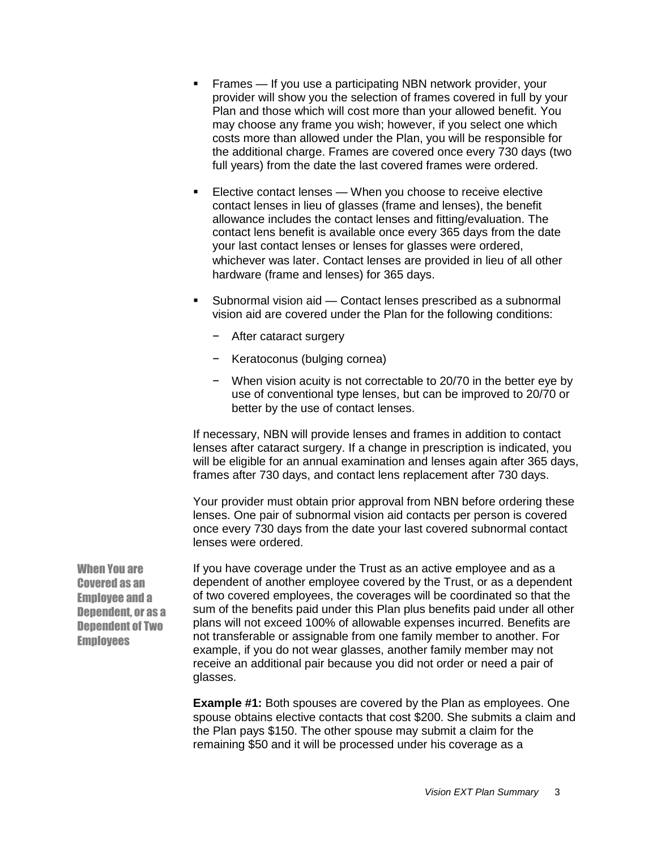- **Filtum** Frames If you use a participating NBN network provider, your provider will show you the selection of frames covered in full by your Plan and those which will cost more than your allowed benefit. You may choose any frame you wish; however, if you select one which costs more than allowed under the Plan, you will be responsible for the additional charge. Frames are covered once every 730 days (two full years) from the date the last covered frames were ordered.
- Elective contact lenses When you choose to receive elective contact lenses in lieu of glasses (frame and lenses), the benefit allowance includes the contact lenses and fitting/evaluation. The contact lens benefit is available once every 365 days from the date your last contact lenses or lenses for glasses were ordered, whichever was later. Contact lenses are provided in lieu of all other hardware (frame and lenses) for 365 days.
- Subnormal vision aid Contact lenses prescribed as a subnormal vision aid are covered under the Plan for the following conditions:
	- − After cataract surgery
	- − Keratoconus (bulging cornea)
	- − When vision acuity is not correctable to 20/70 in the better eye by use of conventional type lenses, but can be improved to 20/70 or better by the use of contact lenses.

If necessary, NBN will provide lenses and frames in addition to contact lenses after cataract surgery. If a change in prescription is indicated, you will be eligible for an annual examination and lenses again after 365 days, frames after 730 days, and contact lens replacement after 730 days.

Your provider must obtain prior approval from NBN before ordering these lenses. One pair of subnormal vision aid contacts per person is covered once every 730 days from the date your last covered subnormal contact lenses were ordered.

If you have coverage under the Trust as an active employee and as a dependent of another employee covered by the Trust, or as a dependent of two covered employees, the coverages will be coordinated so that the sum of the benefits paid under this Plan plus benefits paid under all other plans will not exceed 100% of allowable expenses incurred. Benefits are not transferable or assignable from one family member to another. For example, if you do not wear glasses, another family member may not receive an additional pair because you did not order or need a pair of glasses.

**Example #1:** Both spouses are covered by the Plan as employees. One spouse obtains elective contacts that cost \$200. She submits a claim and the Plan pays \$150. The other spouse may submit a claim for the remaining \$50 and it will be processed under his coverage as a

When You are Covered as an Employee and a Dependent, or as a Dependent of Two **Employees**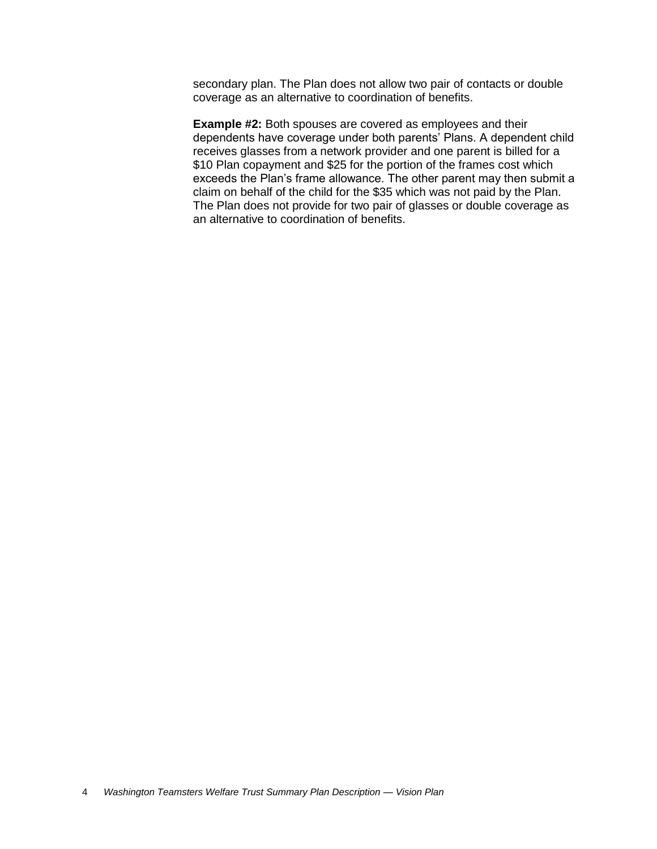secondary plan. The Plan does not allow two pair of contacts or double coverage as an alternative to coordination of benefits.

**Example #2:** Both spouses are covered as employees and their dependents have coverage under both parents' Plans. A dependent child receives glasses from a network provider and one parent is billed for a \$10 Plan copayment and \$25 for the portion of the frames cost which exceeds the Plan's frame allowance. The other parent may then submit a claim on behalf of the child for the \$35 which was not paid by the Plan. The Plan does not provide for two pair of glasses or double coverage as an alternative to coordination of benefits.